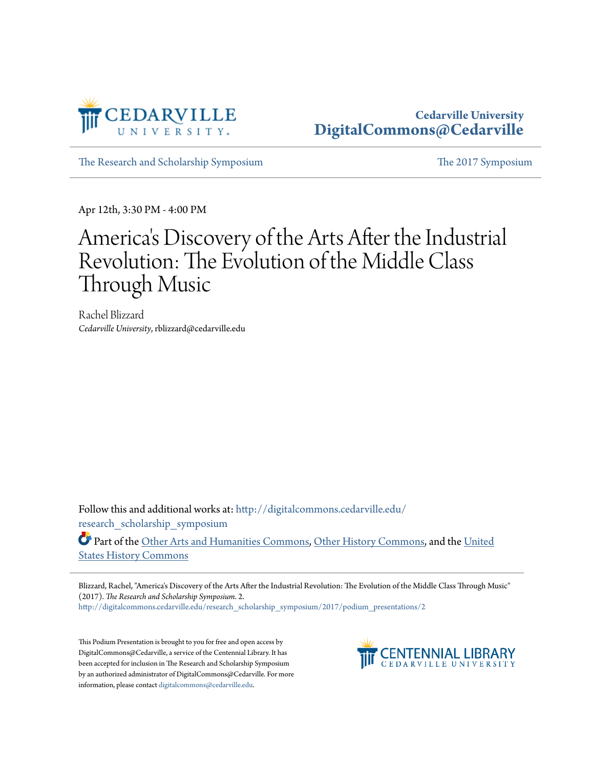

## **Cedarville University [DigitalCommons@Cedarville](http://digitalcommons.cedarville.edu?utm_source=digitalcommons.cedarville.edu%2Fresearch_scholarship_symposium%2F2017%2Fpodium_presentations%2F2&utm_medium=PDF&utm_campaign=PDFCoverPages)**

[The Research and Scholarship Symposium](http://digitalcommons.cedarville.edu/research_scholarship_symposium?utm_source=digitalcommons.cedarville.edu%2Fresearch_scholarship_symposium%2F2017%2Fpodium_presentations%2F2&utm_medium=PDF&utm_campaign=PDFCoverPages) [The 2017 Symposium](http://digitalcommons.cedarville.edu/research_scholarship_symposium/2017?utm_source=digitalcommons.cedarville.edu%2Fresearch_scholarship_symposium%2F2017%2Fpodium_presentations%2F2&utm_medium=PDF&utm_campaign=PDFCoverPages)

Apr 12th, 3:30 PM - 4:00 PM

## America 's Discovery of the Arts After the Industrial Revolution: The Evolution of the Middle Class Through Music

Rachel Blizzard *Cedarville University*, rblizzard@cedarville.edu

Follow this and additional works at: [http://digitalcommons.cedarville.edu/](http://digitalcommons.cedarville.edu/research_scholarship_symposium?utm_source=digitalcommons.cedarville.edu%2Fresearch_scholarship_symposium%2F2017%2Fpodium_presentations%2F2&utm_medium=PDF&utm_campaign=PDFCoverPages) [research\\_scholarship\\_symposium](http://digitalcommons.cedarville.edu/research_scholarship_symposium?utm_source=digitalcommons.cedarville.edu%2Fresearch_scholarship_symposium%2F2017%2Fpodium_presentations%2F2&utm_medium=PDF&utm_campaign=PDFCoverPages)

Part of the [Other Arts and Humanities Commons,](http://network.bepress.com/hgg/discipline/577?utm_source=digitalcommons.cedarville.edu%2Fresearch_scholarship_symposium%2F2017%2Fpodium_presentations%2F2&utm_medium=PDF&utm_campaign=PDFCoverPages) [Other History Commons,](http://network.bepress.com/hgg/discipline/508?utm_source=digitalcommons.cedarville.edu%2Fresearch_scholarship_symposium%2F2017%2Fpodium_presentations%2F2&utm_medium=PDF&utm_campaign=PDFCoverPages) and the [United](http://network.bepress.com/hgg/discipline/495?utm_source=digitalcommons.cedarville.edu%2Fresearch_scholarship_symposium%2F2017%2Fpodium_presentations%2F2&utm_medium=PDF&utm_campaign=PDFCoverPages) [States History Commons](http://network.bepress.com/hgg/discipline/495?utm_source=digitalcommons.cedarville.edu%2Fresearch_scholarship_symposium%2F2017%2Fpodium_presentations%2F2&utm_medium=PDF&utm_campaign=PDFCoverPages)

Blizzard, Rachel, "America's Discovery of the Arts After the Industrial Revolution: The Evolution of the Middle Class Through Music" (2017). *The Research and Scholarship Symposium*. 2.

[http://digitalcommons.cedarville.edu/research\\_scholarship\\_symposium/2017/podium\\_presentations/2](http://digitalcommons.cedarville.edu/research_scholarship_symposium/2017/podium_presentations/2?utm_source=digitalcommons.cedarville.edu%2Fresearch_scholarship_symposium%2F2017%2Fpodium_presentations%2F2&utm_medium=PDF&utm_campaign=PDFCoverPages)

This Podium Presentation is brought to you for free and open access by DigitalCommons@Cedarville, a service of the Centennial Library. It has been accepted for inclusion in The Research and Scholarship Symposium by an authorized administrator of DigitalCommons@Cedarville. For more information, please contact [digitalcommons@cedarville.edu.](mailto:digitalcommons@cedarville.edu)